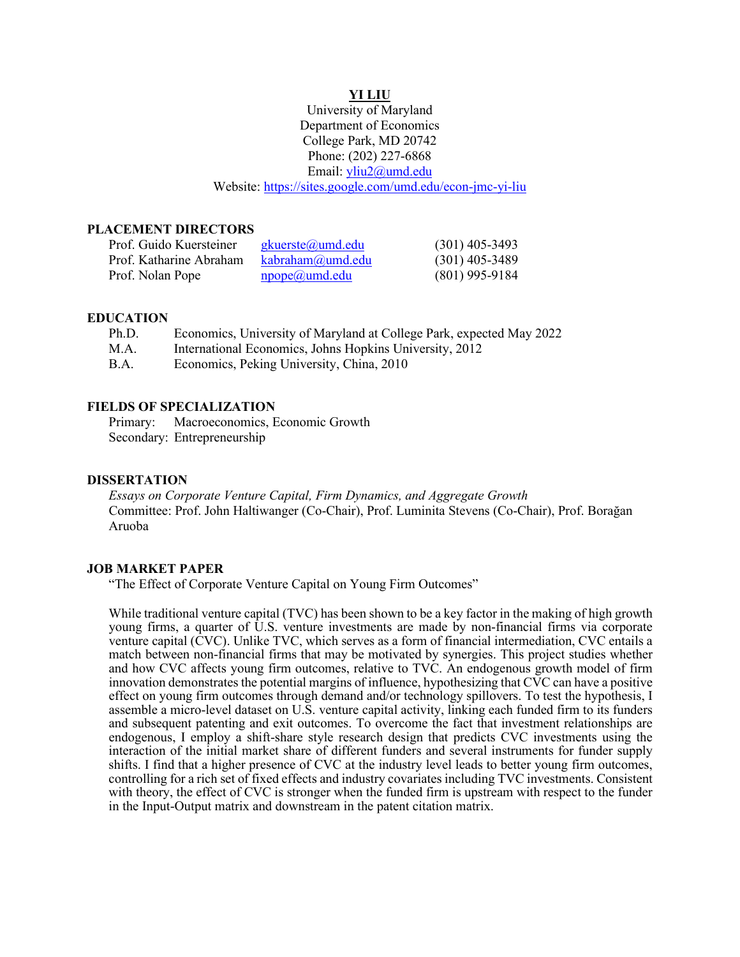### **YI LIU**

University of Maryland Department of Economics College Park, MD 20742 Phone: (202) 227-6868 Email: [yliu2@umd.edu](mailto:yliu2@umd.edu) Website: [https://sites.google.com/umd.edu/econ-jmc-](https://sites.google.com/umd.edu/econ-jmc)yi-liu

### **PLACEMENT DIRECTORS**

| Prof. Guido Kuersteiner | gkuerste@umd.edu          | $(301)$ 405-3493 |
|-------------------------|---------------------------|------------------|
| Prof. Katharine Abraham | kabraham@umd.edu          | $(301)$ 405-3489 |
| Prof. Nolan Pope        | $\text{npope}(a)$ umd.edu | $(801)$ 995-9184 |

#### **EDUCATION**

| Ph.D.       | Economics, University of Maryland at College Park, expected May 2022 |
|-------------|----------------------------------------------------------------------|
| M.A.        | International Economics, Johns Hopkins University, 2012              |
| <b>B.A.</b> | Economics, Peking University, China, 2010                            |

# **FIELDS OF SPECIALIZATION**

Primary: Macroeconomics, Economic Growth Secondary: Entrepreneurship

#### **DISSERTATION**

*Essays on Corporate Venture Capital, Firm Dynamics, and Aggregate Growth* Committee: Prof. John Haltiwanger (Co-Chair), Prof. Luminita Stevens (Co-Chair), Prof. Borağan Aruoba

### **JOB MARKET PAPER**

"The Effect of Corporate Venture Capital on Young Firm Outcomes"

While traditional venture capital (TVC) has been shown to be a key factor in the making of high growth young firms, a quarter of U.S. venture investments are made by non-financial firms via corporate venture capital (CVC). Unlike TVC, which serves as a form of financial intermediation, CVC entails a match between non-financial firms that may be motivated by synergies. This project studies whether and how CVC affects young firm outcomes, relative to TVC. An endogenous growth model of firm innovation demonstrates the potential margins of influence, hypothesizing that CVC can have a positive effect on young firm outcomes through demand and/or technology spillovers. To test the hypothesis, I assemble a micro-level dataset on U.S. venture capital activity, linking each funded firm to its funders and subsequent patenting and exit outcomes. To overcome the fact that investment relationships are endogenous, I employ a shift-share style research design that predicts CVC investments using the interaction of the initial market share of different funders and several instruments for funder supply shifts. I find that a higher presence of CVC at the industry level leads to better young firm outcomes, controlling for a rich set of fixed effects and industry covariates including TVC investments. Consistent with theory, the effect of CVC is stronger when the funded firm is upstream with respect to the funder in the Input-Output matrix and downstream in the patent citation matrix.